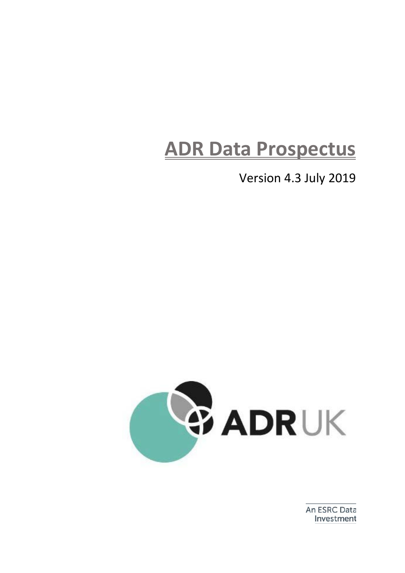# **ADR Data Prospectus**

Version 4.3 July 2019



An ESRC Data Investment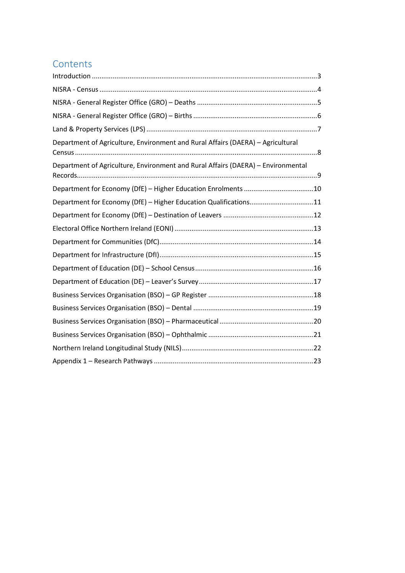### **Contents**

| Department of Agriculture, Environment and Rural Affairs (DAERA) - Agricultural  |
|----------------------------------------------------------------------------------|
| Department of Agriculture, Environment and Rural Affairs (DAERA) - Environmental |
|                                                                                  |
| Department for Economy (DfE) - Higher Education Qualifications11                 |
|                                                                                  |
|                                                                                  |
|                                                                                  |
|                                                                                  |
|                                                                                  |
|                                                                                  |
|                                                                                  |
|                                                                                  |
|                                                                                  |
|                                                                                  |
|                                                                                  |
|                                                                                  |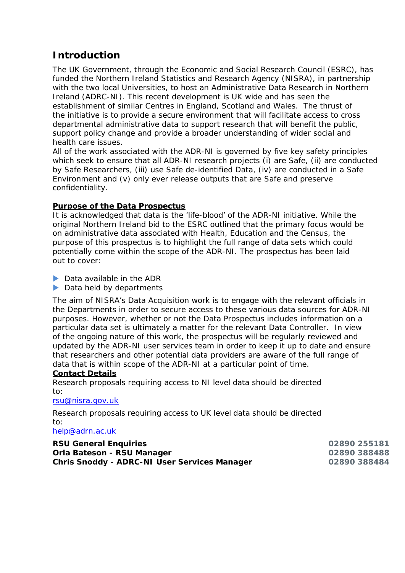### <span id="page-2-0"></span>**Introduction**

The UK Government, through the Economic and Social Research Council (ESRC), has funded the Northern Ireland Statistics and Research Agency (NISRA), in partnership with the two local Universities, to host an Administrative Data Research in Northern Ireland (ADRC-NI). This recent development is UK wide and has seen the establishment of similar Centres in England, Scotland and Wales. The thrust of the initiative is to provide a secure environment that will facilitate access to cross departmental administrative data to support research that will benefit the public, support policy change and provide a broader understanding of wider social and health care issues.

All of the work associated with the ADR-NI is governed by five key safety principles which seek to ensure that all ADR-NI research projects (i) are Safe, (ii) are conducted by Safe Researchers, (iii) use Safe de-identified Data, (iv) are conducted in a Safe Environment and (v) only ever release outputs that are Safe and preserve confidentiality.

### **Purpose of the Data Prospectus**

It is acknowledged that data is the 'life-blood' of the ADR-NI initiative. While the original Northern Ireland bid to the ESRC outlined that the primary focus would be on administrative data associated with Health, Education and the Census, the purpose of this prospectus is to highlight the full range of data sets which could potentially come within the scope of the ADR-NI. The prospectus has been laid out to cover:

▶ Data available in the ADR

Data held by departments

The aim of NISRA's Data Acquisition work is to engage with the relevant officials in the Departments in order to secure access to these various data sources for ADR-NI purposes. However, whether or not the Data Prospectus includes information on a particular data set is ultimately a matter for the relevant Data Controller. In view of the ongoing nature of this work, the prospectus will be regularly reviewed and updated by the ADR-NI user services team in order to keep it up to date and ensure that researchers and other potential data providers are aware of the full range of data that is within scope of the ADR-NI at a particular point of time.

### **Contact Details**

Research proposals requiring access to NI level data should be directed to:

#### [rsu@nisra.gov.uk](mailto:rsu@nisra.gov.uk)

Research proposals requiring access to UK level data should be directed to:

[help@adrn.ac.uk](mailto:help@adrn.ac.uk)

| <b>RSU General Enquiries</b>                        | 02890 255181 |
|-----------------------------------------------------|--------------|
| <b>Orla Bateson - RSU Manager</b>                   | 02890 388488 |
| <b>Chris Snoddy - ADRC-NI User Services Manager</b> | 02890 388484 |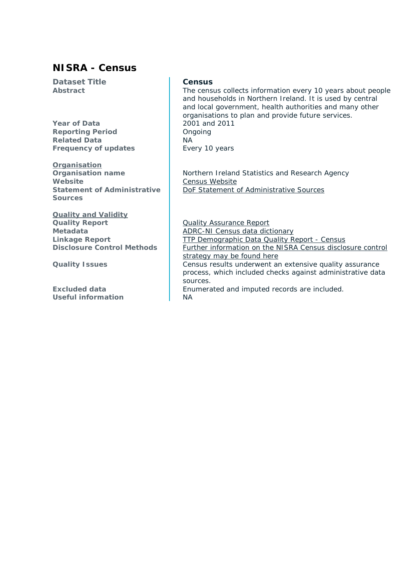### <span id="page-3-0"></span>**NISRA - Census**

**Dataset Title Census**

**Year of Data** 2001 and 2011 **Reporting Period CONGITY** Ongoing **Related Data** NA **Frequency of updates** Every 10 years

**Organisation**<br>**Organisation** name Website **[Census Website](https://www.nisra.gov.uk/statistics/census) Statement of Administrative Sources**

### **Quality and Validity**

**Useful information** NA

**Abstract** The census collects information every 10 years about people and households in Northern Ireland. It is used by central and local government, health authorities and many other organisations to plan and provide future services.

> **Northern Ireland Statistics and Research Agency** [DoF Statement of Administrative Sources](https://www.nisra.gov.uk/publications/dof-statement-administrative-sources)

**Quality Report [Quality Assurance Report](https://www.nisra.gov.uk/sites/nisra.gov.uk/files/publications/2011-census-results-key-statistics-quality-assurance-report-11-december-2012.pdf) Metadata [ADRC-NI Census data dictionary](http://adrn.ac.uk/about/network/n-ireland/researcher-resources/)**<br> **ADRC-NI Census data dictionary**<br> **ADRC-NI Census data dictionary**<br> **ADRC-NI Census data dictionary [TTP Demographic Data Quality Report -](http://adrn.ac.uk/media/1274/ttp-demographic-data-quality-report-census-2001.pdf) Census Disclosure Control Methods** Further information on the NISRA Census disclosure control [strategy may be found here](http://www.ons.gov.uk/ons/guide-method/census/2011/census-data/2011-census-prospectus/new-developments-for-2011-census-results/statistical-disclosure-control/index.html) **Quality Issues** Census results underwent an extensive quality assurance process, which included checks against administrative data sources.

**Excluded data Enumerated and imputed records are included.**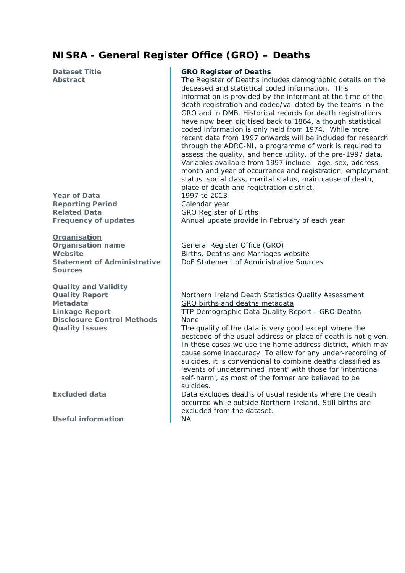### <span id="page-4-0"></span>**NISRA - General Register Office (GRO) – Deaths**

**Reporting Period** Calendar year **Related Data**<br> **Requency of updates**<br> **Requency of updates**<br> **Annual update provide** 

**Organisation Organisation name** General Register Office (GRO) **Statement of Administrative Sources**

**Quality and Validity Disclosure Control Methods None** 

**Useful information** NA

#### **Dataset Title GRO Register of Deaths**

**Abstract** The Register of Deaths includes demographic details on the deceased and statistical coded information. This information is provided by the informant at the time of the death registration and coded/validated by the teams in the GRO and in DMB. Historical records for death registrations have now been digitised back to 1864, although statistical coded information is only held from 1974. While more recent data from 1997 onwards will be included for research through the ADRC-NI, a programme of work is required to assess the quality, and hence utility, of the pre-1997 data. Variables available from 1997 include: age, sex, address, month and year of occurrence and registration, employment status, social class, marital status, main cause of death, place of death and registration district. **Year of Data** 1997 to 2013

Annual update provide in February of each year

**Website [Births, Deaths and Marriages website](https://www.nisra.gov.uk/statistics/births-deaths-and-marriages)** [DoF Statement of Administrative Sources](https://www.nisra.gov.uk/publications/dof-statement-administrative-sources)

**Quality Report [Northern Ireland Death Statistics Quality Assessment](https://www.nisra.gov.uk/publications/northern-ireland-deaths-background-quality-report) Metadata** [GRO births and deaths metadata](http://adrn.ac.uk/about/network/n-ireland/researcher-resources/) **Linkage Report** [TTP Demographic Data Quality Report -](https://www.adrn.ac.uk/media/1272/ttp-demographic-data-quality-report-gro-deaths.pdf) GRO Deaths

**Quality Issues** The quality of the data is very good except where the postcode of the usual address or place of death is not given. In these cases we use the home address district, which may cause some inaccuracy. To allow for any under-recording of suicides, it is conventional to combine deaths classified as 'events of undetermined intent' with those for 'intentional self-harm', as most of the former are believed to be suicides.

**Excluded data Data excludes deaths of usual residents where the death** occurred while outside Northern Ireland. Still births are excluded from the dataset.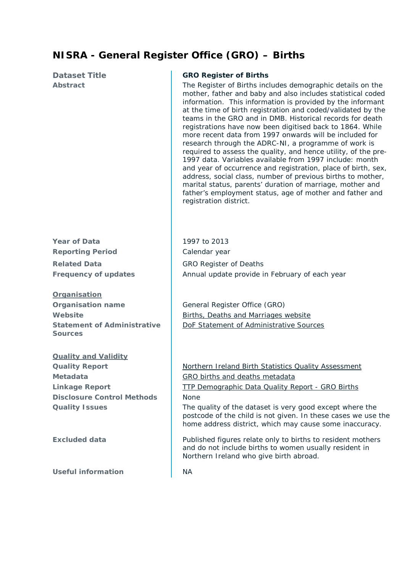### <span id="page-5-0"></span>**NISRA - General Register Office (GRO) – Births**

**Year of Data** 1997 to 2013 **Reporting Period** Calendar year **Related Data** GRO Register of Deaths

**Organisation Organisation name** General Register Office (GRO) **Statement of Administrative Sources**

# **Quality and Validity Disclosure Control Methods** None

**Useful information** NA

### **Dataset Title GRO Register of Births**

**Abstract** The Register of Births includes demographic details on the mother, father and baby and also includes statistical coded information. This information is provided by the informant at the time of birth registration and coded/validated by the teams in the GRO and in DMB. Historical records for death registrations have now been digitised back to 1864. While more recent data from 1997 onwards will be included for research through the ADRC-NI, a programme of work is required to assess the quality, and hence utility, of the pre-1997 data. Variables available from 1997 include: month and year of occurrence and registration, place of birth, sex, address, social class, number of previous births to mother, marital status, parents' duration of marriage, mother and father's employment status, age of mother and father and registration district.

**Frequency of updates** Annual update provide in February of each year

**Website [Births, Deaths and Marriages website](https://www.nisra.gov.uk/statistics/births-deaths-and-marriages)** [DoF Statement of Administrative Sources](https://www.nisra.gov.uk/publications/dof-statement-administrative-sources)

**Quality Report** [Northern Ireland Birth Statistics Quality Assessment](https://www.nisra.gov.uk/publications/northern-ireland-births-background-quality-report) **Metadata** GRO births [and deaths metadata](http://adrn.ac.uk/about/network/n-ireland/researcher-resources/) **Linkage Report**  $\vert$  [TTP Demographic Data Quality Report -](https://www.adrn.ac.uk/media/1279/ttp-demographic-data-quality-report-gro-births.pdf) GRO Births

**Quality Issues** The quality of the dataset is very good except where the postcode of the child is not given. In these cases we use the home address district, which may cause some inaccuracy.

**Excluded data** Published figures relate only to births to resident mothers and do not include births to women usually resident in Northern Ireland who give birth abroad.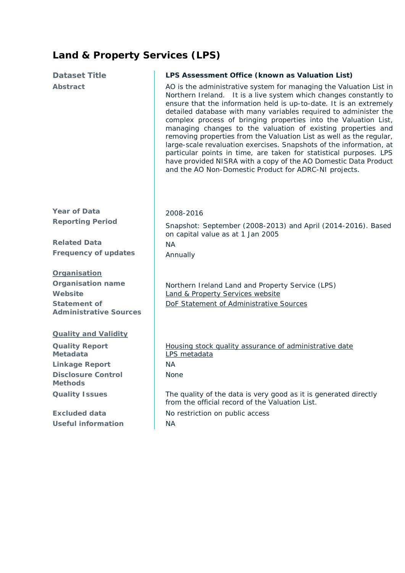# <span id="page-6-0"></span>**Land & Property Services (LPS)**

| <b>Dataset Title</b>                                                                                        | LPS Assessment Office (known as Valuation List)                                                                                                                                                                                                                                                                                                                                                                                                                                                                                                                                                                                                                                                                                                                      |
|-------------------------------------------------------------------------------------------------------------|----------------------------------------------------------------------------------------------------------------------------------------------------------------------------------------------------------------------------------------------------------------------------------------------------------------------------------------------------------------------------------------------------------------------------------------------------------------------------------------------------------------------------------------------------------------------------------------------------------------------------------------------------------------------------------------------------------------------------------------------------------------------|
| Abstract                                                                                                    | AO is the administrative system for managing the Valuation List in<br>Northern Ireland. It is a live system which changes constantly to<br>ensure that the information held is up-to-date. It is an extremely<br>detailed database with many variables required to administer the<br>complex process of bringing properties into the Valuation List,<br>managing changes to the valuation of existing properties and<br>removing properties from the Valuation List as well as the regular,<br>large-scale revaluation exercises. Snapshots of the information, at<br>particular points in time, are taken for statistical purposes. LPS<br>have provided NISRA with a copy of the AO Domestic Data Product<br>and the AO Non-Domestic Product for ADRC-NI projects. |
| <b>Year of Data</b>                                                                                         | 2008-2016                                                                                                                                                                                                                                                                                                                                                                                                                                                                                                                                                                                                                                                                                                                                                            |
| <b>Reporting Period</b>                                                                                     | Snapshot: September (2008-2013) and April (2014-2016). Based                                                                                                                                                                                                                                                                                                                                                                                                                                                                                                                                                                                                                                                                                                         |
| <b>Related Data</b>                                                                                         | on capital value as at 1 Jan 2005                                                                                                                                                                                                                                                                                                                                                                                                                                                                                                                                                                                                                                                                                                                                    |
| <b>Frequency of updates</b>                                                                                 | <b>NA</b><br>Annually                                                                                                                                                                                                                                                                                                                                                                                                                                                                                                                                                                                                                                                                                                                                                |
|                                                                                                             |                                                                                                                                                                                                                                                                                                                                                                                                                                                                                                                                                                                                                                                                                                                                                                      |
| Organisation<br><b>Organisation name</b><br>Website<br><b>Statement of</b><br><b>Administrative Sources</b> | Northern Ireland Land and Property Service (LPS)<br><b>Land &amp; Property Services website</b><br>DoF Statement of Administrative Sources                                                                                                                                                                                                                                                                                                                                                                                                                                                                                                                                                                                                                           |
| <b>Quality and Validity</b>                                                                                 |                                                                                                                                                                                                                                                                                                                                                                                                                                                                                                                                                                                                                                                                                                                                                                      |
| <b>Quality Report</b><br>Metadata                                                                           | Housing stock quality assurance of administrative date<br>LPS metadata                                                                                                                                                                                                                                                                                                                                                                                                                                                                                                                                                                                                                                                                                               |
| <b>Linkage Report</b>                                                                                       | <b>NA</b>                                                                                                                                                                                                                                                                                                                                                                                                                                                                                                                                                                                                                                                                                                                                                            |
| <b>Disclosure Control</b><br><b>Methods</b>                                                                 | None                                                                                                                                                                                                                                                                                                                                                                                                                                                                                                                                                                                                                                                                                                                                                                 |
| <b>Quality Issues</b>                                                                                       | The quality of the data is very good as it is generated directly<br>from the official record of the Valuation List.                                                                                                                                                                                                                                                                                                                                                                                                                                                                                                                                                                                                                                                  |
| <b>Excluded data</b>                                                                                        | No restriction on public access                                                                                                                                                                                                                                                                                                                                                                                                                                                                                                                                                                                                                                                                                                                                      |
| <b>Useful information</b>                                                                                   | <b>NA</b>                                                                                                                                                                                                                                                                                                                                                                                                                                                                                                                                                                                                                                                                                                                                                            |
|                                                                                                             |                                                                                                                                                                                                                                                                                                                                                                                                                                                                                                                                                                                                                                                                                                                                                                      |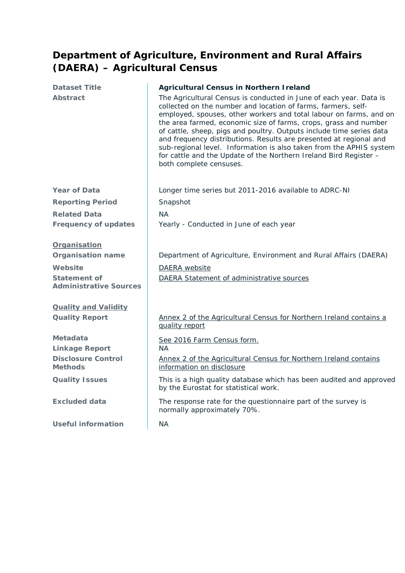### <span id="page-7-0"></span>**Department of Agriculture, Environment and Rural Affairs (DAERA) – Agricultural Census**

| <b>Dataset Title</b>                                 | <b>Agricultural Census in Northern I reland</b>                                                                                                                                                                                                                                                                                                                                                                                                                                                                                                                                                    |
|------------------------------------------------------|----------------------------------------------------------------------------------------------------------------------------------------------------------------------------------------------------------------------------------------------------------------------------------------------------------------------------------------------------------------------------------------------------------------------------------------------------------------------------------------------------------------------------------------------------------------------------------------------------|
| <b>Abstract</b>                                      | The Agricultural Census is conducted in June of each year. Data is<br>collected on the number and location of farms, farmers, self-<br>employed, spouses, other workers and total labour on farms, and on<br>the area farmed, economic size of farms, crops, grass and number<br>of cattle, sheep, pigs and poultry. Outputs include time series data<br>and frequency distributions. Results are presented at regional and<br>sub-regional level. Information is also taken from the APHIS system<br>for cattle and the Update of the Northern Ireland Bird Register -<br>both complete censuses. |
| <b>Year of Data</b>                                  | Longer time series but 2011-2016 available to ADRC-NI                                                                                                                                                                                                                                                                                                                                                                                                                                                                                                                                              |
| <b>Reporting Period</b>                              | Snapshot                                                                                                                                                                                                                                                                                                                                                                                                                                                                                                                                                                                           |
| <b>Related Data</b>                                  | <b>NA</b>                                                                                                                                                                                                                                                                                                                                                                                                                                                                                                                                                                                          |
| <b>Frequency of updates</b>                          | Yearly - Conducted in June of each year                                                                                                                                                                                                                                                                                                                                                                                                                                                                                                                                                            |
| Organisation                                         |                                                                                                                                                                                                                                                                                                                                                                                                                                                                                                                                                                                                    |
| <b>Organisation name</b>                             | Department of Agriculture, Environment and Rural Affairs (DAERA)                                                                                                                                                                                                                                                                                                                                                                                                                                                                                                                                   |
| Website                                              | DAERA website                                                                                                                                                                                                                                                                                                                                                                                                                                                                                                                                                                                      |
| <b>Statement of</b><br><b>Administrative Sources</b> | DAERA Statement of administrative sources                                                                                                                                                                                                                                                                                                                                                                                                                                                                                                                                                          |
| <b>Quality and Validity</b>                          |                                                                                                                                                                                                                                                                                                                                                                                                                                                                                                                                                                                                    |
| <b>Quality Report</b>                                | Annex 2 of the Agricultural Census for Northern Ireland contains a<br>quality report                                                                                                                                                                                                                                                                                                                                                                                                                                                                                                               |
| Metadata<br><b>Linkage Report</b>                    | See 2016 Farm Census form.<br><b>NA</b>                                                                                                                                                                                                                                                                                                                                                                                                                                                                                                                                                            |
| <b>Disclosure Control</b><br><b>Methods</b>          | Annex 2 of the Agricultural Census for Northern Ireland contains<br>information on disclosure                                                                                                                                                                                                                                                                                                                                                                                                                                                                                                      |
| <b>Quality Issues</b>                                | This is a high quality database which has been audited and approved<br>by the Eurostat for statistical work.                                                                                                                                                                                                                                                                                                                                                                                                                                                                                       |
| <b>Excluded data</b>                                 | The response rate for the questionnaire part of the survey is<br>normally approximately 70%.                                                                                                                                                                                                                                                                                                                                                                                                                                                                                                       |
| <b>Useful information</b>                            | <b>NA</b>                                                                                                                                                                                                                                                                                                                                                                                                                                                                                                                                                                                          |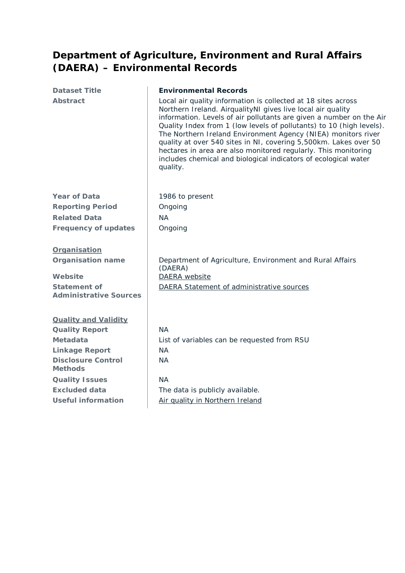### <span id="page-8-0"></span>**Department of Agriculture, Environment and Rural Affairs (DAERA) – Environmental Records**

| <b>Dataset Title</b>                                 | <b>Environmental Records</b>                                                                                                                                                                                                                                                                                                                                                                                                                                                                                                                                      |
|------------------------------------------------------|-------------------------------------------------------------------------------------------------------------------------------------------------------------------------------------------------------------------------------------------------------------------------------------------------------------------------------------------------------------------------------------------------------------------------------------------------------------------------------------------------------------------------------------------------------------------|
| <b>Abstract</b>                                      | Local air quality information is collected at 18 sites across<br>Northern Ireland. AirqualityNI gives live local air quality<br>information. Levels of air pollutants are given a number on the Air<br>Quality Index from 1 (low levels of pollutants) to 10 (high levels).<br>The Northern Ireland Environment Agency (NIEA) monitors river<br>quality at over 540 sites in NI, covering 5,500km. Lakes over 50<br>hectares in area are also monitored regularly. This monitoring<br>includes chemical and biological indicators of ecological water<br>quality. |
| <b>Year of Data</b>                                  | 1986 to present                                                                                                                                                                                                                                                                                                                                                                                                                                                                                                                                                   |
| <b>Reporting Period</b>                              | Ongoing                                                                                                                                                                                                                                                                                                                                                                                                                                                                                                                                                           |
| <b>Related Data</b>                                  | <b>NA</b>                                                                                                                                                                                                                                                                                                                                                                                                                                                                                                                                                         |
| <b>Frequency of updates</b>                          | Ongoing                                                                                                                                                                                                                                                                                                                                                                                                                                                                                                                                                           |
| <b>Organisation</b>                                  |                                                                                                                                                                                                                                                                                                                                                                                                                                                                                                                                                                   |
| <b>Organisation name</b>                             | Department of Agriculture, Environment and Rural Affairs<br>(DAERA)                                                                                                                                                                                                                                                                                                                                                                                                                                                                                               |
| Website                                              | DAERA website                                                                                                                                                                                                                                                                                                                                                                                                                                                                                                                                                     |
| <b>Statement of</b><br><b>Administrative Sources</b> | DAERA Statement of administrative sources                                                                                                                                                                                                                                                                                                                                                                                                                                                                                                                         |
| <b>Quality and Validity</b>                          |                                                                                                                                                                                                                                                                                                                                                                                                                                                                                                                                                                   |
| <b>Quality Report</b>                                | <b>NA</b>                                                                                                                                                                                                                                                                                                                                                                                                                                                                                                                                                         |
| <b>Metadata</b>                                      | List of variables can be requested from RSU                                                                                                                                                                                                                                                                                                                                                                                                                                                                                                                       |
| <b>Linkage Report</b>                                | <b>NA</b>                                                                                                                                                                                                                                                                                                                                                                                                                                                                                                                                                         |
| <b>Disclosure Control</b><br><b>Methods</b>          | <b>NA</b>                                                                                                                                                                                                                                                                                                                                                                                                                                                                                                                                                         |
| <b>Quality Issues</b>                                | <b>NA</b>                                                                                                                                                                                                                                                                                                                                                                                                                                                                                                                                                         |
| <b>Excluded data</b>                                 | The data is publicly available.                                                                                                                                                                                                                                                                                                                                                                                                                                                                                                                                   |
| <b>Useful information</b>                            | Air quality in Northern Ireland                                                                                                                                                                                                                                                                                                                                                                                                                                                                                                                                   |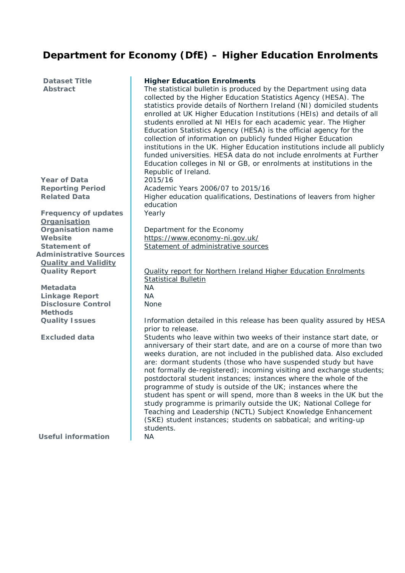# <span id="page-9-0"></span> **Department for Economy (DfE) – Higher Education Enrolments**

| <b>Dataset Title</b><br><b>Abstract</b> | <b>Higher Education Enrolments</b><br>The statistical bulletin is produced by the Department using data<br>collected by the Higher Education Statistics Agency (HESA). The<br>statistics provide details of Northern Ireland (NI) domiciled students<br>enrolled at UK Higher Education Institutions (HEIs) and details of all<br>students enrolled at NI HEIs for each academic year. The Higher<br>Education Statistics Agency (HESA) is the official agency for the<br>collection of information on publicly funded Higher Education<br>institutions in the UK. Higher Education institutions include all publicly<br>funded universities. HESA data do not include enrolments at Further<br>Education colleges in NI or GB, or enrolments at institutions in the |
|-----------------------------------------|----------------------------------------------------------------------------------------------------------------------------------------------------------------------------------------------------------------------------------------------------------------------------------------------------------------------------------------------------------------------------------------------------------------------------------------------------------------------------------------------------------------------------------------------------------------------------------------------------------------------------------------------------------------------------------------------------------------------------------------------------------------------|
|                                         | Republic of Ireland.                                                                                                                                                                                                                                                                                                                                                                                                                                                                                                                                                                                                                                                                                                                                                 |
| <b>Year of Data</b>                     | 2015/16                                                                                                                                                                                                                                                                                                                                                                                                                                                                                                                                                                                                                                                                                                                                                              |
| <b>Reporting Period</b>                 | Academic Years 2006/07 to 2015/16                                                                                                                                                                                                                                                                                                                                                                                                                                                                                                                                                                                                                                                                                                                                    |
| <b>Related Data</b>                     | Higher education qualifications, Destinations of leavers from higher                                                                                                                                                                                                                                                                                                                                                                                                                                                                                                                                                                                                                                                                                                 |
| <b>Frequency of updates</b>             | education<br>Yearly                                                                                                                                                                                                                                                                                                                                                                                                                                                                                                                                                                                                                                                                                                                                                  |
| Organisation                            |                                                                                                                                                                                                                                                                                                                                                                                                                                                                                                                                                                                                                                                                                                                                                                      |
| <b>Organisation name</b>                | Department for the Economy                                                                                                                                                                                                                                                                                                                                                                                                                                                                                                                                                                                                                                                                                                                                           |
| Website                                 | https://www.economy-ni.gov.uk/                                                                                                                                                                                                                                                                                                                                                                                                                                                                                                                                                                                                                                                                                                                                       |
| <b>Statement of</b>                     | Statement of administrative sources                                                                                                                                                                                                                                                                                                                                                                                                                                                                                                                                                                                                                                                                                                                                  |
| <b>Administrative Sources</b>           |                                                                                                                                                                                                                                                                                                                                                                                                                                                                                                                                                                                                                                                                                                                                                                      |
| <b>Quality and Validity</b>             |                                                                                                                                                                                                                                                                                                                                                                                                                                                                                                                                                                                                                                                                                                                                                                      |
| <b>Quality Report</b>                   | <b>Quality report for Northern Ireland Higher Education Enrolments</b>                                                                                                                                                                                                                                                                                                                                                                                                                                                                                                                                                                                                                                                                                               |
| <b>Metadata</b>                         | <b>Statistical Bulletin</b><br>NA                                                                                                                                                                                                                                                                                                                                                                                                                                                                                                                                                                                                                                                                                                                                    |
| <b>Linkage Report</b>                   | NA                                                                                                                                                                                                                                                                                                                                                                                                                                                                                                                                                                                                                                                                                                                                                                   |
| <b>Disclosure Control</b>               | <b>None</b>                                                                                                                                                                                                                                                                                                                                                                                                                                                                                                                                                                                                                                                                                                                                                          |
| <b>Methods</b>                          |                                                                                                                                                                                                                                                                                                                                                                                                                                                                                                                                                                                                                                                                                                                                                                      |
| <b>Quality Issues</b>                   | Information detailed in this release has been quality assured by HESA                                                                                                                                                                                                                                                                                                                                                                                                                                                                                                                                                                                                                                                                                                |
|                                         | prior to release.                                                                                                                                                                                                                                                                                                                                                                                                                                                                                                                                                                                                                                                                                                                                                    |
| <b>Excluded data</b>                    | Students who leave within two weeks of their instance start date, or                                                                                                                                                                                                                                                                                                                                                                                                                                                                                                                                                                                                                                                                                                 |
|                                         | anniversary of their start date, and are on a course of more than two                                                                                                                                                                                                                                                                                                                                                                                                                                                                                                                                                                                                                                                                                                |
|                                         | weeks duration, are not included in the published data. Also excluded                                                                                                                                                                                                                                                                                                                                                                                                                                                                                                                                                                                                                                                                                                |
|                                         | are: dormant students (those who have suspended study but have<br>not formally de-registered); incoming visiting and exchange students;                                                                                                                                                                                                                                                                                                                                                                                                                                                                                                                                                                                                                              |
|                                         | postdoctoral student instances; instances where the whole of the                                                                                                                                                                                                                                                                                                                                                                                                                                                                                                                                                                                                                                                                                                     |
|                                         | programme of study is outside of the UK; instances where the                                                                                                                                                                                                                                                                                                                                                                                                                                                                                                                                                                                                                                                                                                         |
|                                         | student has spent or will spend, more than 8 weeks in the UK but the                                                                                                                                                                                                                                                                                                                                                                                                                                                                                                                                                                                                                                                                                                 |
|                                         | study programme is primarily outside the UK; National College for                                                                                                                                                                                                                                                                                                                                                                                                                                                                                                                                                                                                                                                                                                    |
|                                         | Teaching and Leadership (NCTL) Subject Knowledge Enhancement                                                                                                                                                                                                                                                                                                                                                                                                                                                                                                                                                                                                                                                                                                         |
|                                         | (SKE) student instances; students on sabbatical; and writing-up                                                                                                                                                                                                                                                                                                                                                                                                                                                                                                                                                                                                                                                                                                      |
|                                         | students.                                                                                                                                                                                                                                                                                                                                                                                                                                                                                                                                                                                                                                                                                                                                                            |
| <b>Useful information</b>               | <b>NA</b>                                                                                                                                                                                                                                                                                                                                                                                                                                                                                                                                                                                                                                                                                                                                                            |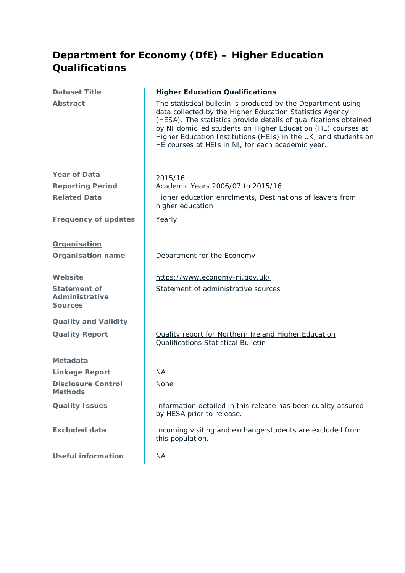### <span id="page-10-0"></span>**Department for Economy (DfE) – Higher Education Qualifications**

| <b>Dataset Title</b>                                           | <b>Higher Education Qualifications</b>                                                                                                                                                                                                                                                                                                                                                |
|----------------------------------------------------------------|---------------------------------------------------------------------------------------------------------------------------------------------------------------------------------------------------------------------------------------------------------------------------------------------------------------------------------------------------------------------------------------|
| <b>Abstract</b>                                                | The statistical bulletin is produced by the Department using<br>data collected by the Higher Education Statistics Agency<br>(HESA). The statistics provide details of qualifications obtained<br>by NI domiciled students on Higher Education (HE) courses at<br>Higher Education Institutions (HEIs) in the UK, and students on<br>HE courses at HEIs in NI, for each academic year. |
| <b>Year of Data</b>                                            | 2015/16                                                                                                                                                                                                                                                                                                                                                                               |
| <b>Reporting Period</b>                                        | Academic Years 2006/07 to 2015/16                                                                                                                                                                                                                                                                                                                                                     |
| <b>Related Data</b>                                            | Higher education enrolments, Destinations of leavers from<br>higher education                                                                                                                                                                                                                                                                                                         |
| <b>Frequency of updates</b>                                    | Yearly                                                                                                                                                                                                                                                                                                                                                                                |
| Organisation                                                   |                                                                                                                                                                                                                                                                                                                                                                                       |
| <b>Organisation name</b>                                       | Department for the Economy                                                                                                                                                                                                                                                                                                                                                            |
| Website                                                        | https://www.economy-ni.gov.uk/                                                                                                                                                                                                                                                                                                                                                        |
| <b>Statement of</b><br><b>Administrative</b><br><b>Sources</b> | Statement of administrative sources                                                                                                                                                                                                                                                                                                                                                   |
| <b>Quality and Validity</b>                                    |                                                                                                                                                                                                                                                                                                                                                                                       |
| <b>Quality Report</b>                                          | <b>Quality report for Northern Ireland Higher Education</b><br><b>Qualifications Statistical Bulletin</b>                                                                                                                                                                                                                                                                             |
| Metadata                                                       | $- -$                                                                                                                                                                                                                                                                                                                                                                                 |
| <b>Linkage Report</b>                                          | <b>NA</b>                                                                                                                                                                                                                                                                                                                                                                             |
| <b>Disclosure Control</b><br><b>Methods</b>                    | None                                                                                                                                                                                                                                                                                                                                                                                  |
| <b>Quality Issues</b>                                          | Information detailed in this release has been quality assured<br>by HESA prior to release.                                                                                                                                                                                                                                                                                            |
| <b>Excluded data</b>                                           | Incoming visiting and exchange students are excluded from<br>this population.                                                                                                                                                                                                                                                                                                         |
| <b>Useful information</b>                                      | <b>NA</b>                                                                                                                                                                                                                                                                                                                                                                             |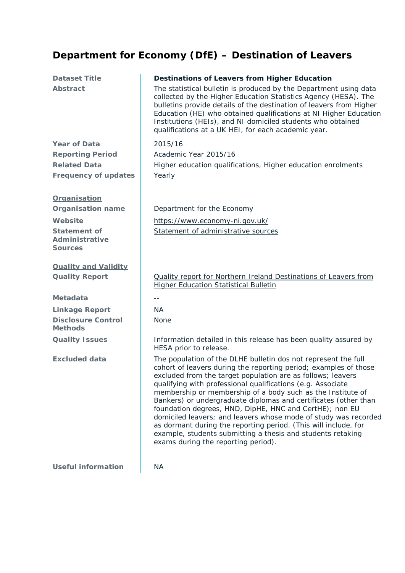# <span id="page-11-0"></span>**Department for Economy (DfE) – Destination of Leavers**

| <b>Dataset Title</b><br><b>Abstract</b>                                                                               | <b>Destinations of Leavers from Higher Education</b><br>The statistical bulletin is produced by the Department using data<br>collected by the Higher Education Statistics Agency (HESA). The<br>bulletins provide details of the destination of leavers from Higher<br>Education (HE) who obtained qualifications at NI Higher Education<br>Institutions (HEIs), and NI domiciled students who obtained<br>qualifications at a UK HEI, for each academic year.                                                                                                                                                                                                                                            |
|-----------------------------------------------------------------------------------------------------------------------|-----------------------------------------------------------------------------------------------------------------------------------------------------------------------------------------------------------------------------------------------------------------------------------------------------------------------------------------------------------------------------------------------------------------------------------------------------------------------------------------------------------------------------------------------------------------------------------------------------------------------------------------------------------------------------------------------------------|
| <b>Year of Data</b><br><b>Reporting Period</b><br><b>Related Data</b><br><b>Frequency of updates</b>                  | 2015/16<br>Academic Year 2015/16<br>Higher education qualifications, Higher education enrolments<br>Yearly                                                                                                                                                                                                                                                                                                                                                                                                                                                                                                                                                                                                |
| Organisation<br><b>Organisation name</b><br>Website<br><b>Statement of</b><br><b>Administrative</b><br><b>Sources</b> | Department for the Economy<br>https://www.economy-ni.gov.uk/<br>Statement of administrative sources                                                                                                                                                                                                                                                                                                                                                                                                                                                                                                                                                                                                       |
| <b>Quality and Validity</b><br><b>Quality Report</b>                                                                  | <b>Quality report for Northern Ireland Destinations of Leavers from</b><br><b>Higher Education Statistical Bulletin</b>                                                                                                                                                                                                                                                                                                                                                                                                                                                                                                                                                                                   |
| <b>Metadata</b>                                                                                                       | $- -$                                                                                                                                                                                                                                                                                                                                                                                                                                                                                                                                                                                                                                                                                                     |
| <b>Linkage Report</b>                                                                                                 | <b>NA</b>                                                                                                                                                                                                                                                                                                                                                                                                                                                                                                                                                                                                                                                                                                 |
| <b>Disclosure Control</b><br><b>Methods</b>                                                                           | <b>None</b>                                                                                                                                                                                                                                                                                                                                                                                                                                                                                                                                                                                                                                                                                               |
| <b>Quality Issues</b>                                                                                                 | Information detailed in this release has been quality assured by<br>HESA prior to release.                                                                                                                                                                                                                                                                                                                                                                                                                                                                                                                                                                                                                |
| <b>Excluded data</b>                                                                                                  | The population of the DLHE bulletin dos not represent the full<br>cohort of leavers during the reporting period; examples of those<br>excluded from the target population are as follows; leavers<br>qualifying with professional qualifications (e.g. Associate<br>membership or membership of a body such as the Institute of<br>Bankers) or undergraduate diplomas and certificates (other than<br>foundation degrees, HND, DipHE, HNC and CertHE); non EU<br>domiciled leavers; and leavers whose mode of study was recorded<br>as dormant during the reporting period. (This will include, for<br>example, students submitting a thesis and students retaking<br>exams during the reporting period). |
| <b>Useful information</b>                                                                                             | <b>NA</b>                                                                                                                                                                                                                                                                                                                                                                                                                                                                                                                                                                                                                                                                                                 |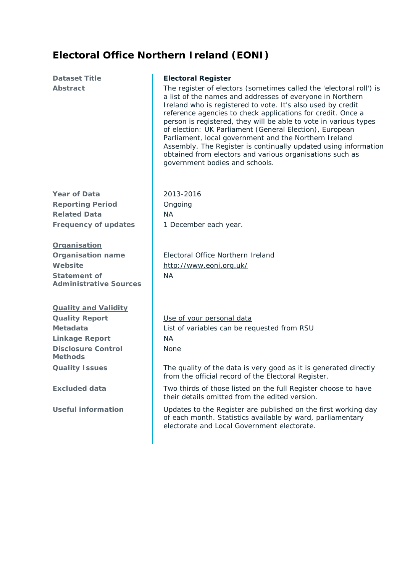### <span id="page-12-0"></span>**Electoral Office Northern Ireland (EONI)**

**Dataset Title Electoral Register** Abstract **The register of electors (sometimes called the 'electoral roll') is** a list of the names and addresses of everyone in Northern Ireland who is registered to vote. It's also used by credit reference agencies to check applications for credit. Once a person is registered, they will be able to vote in various types of election: UK Parliament (General Election), European Parliament, local government and the Northern Ireland Assembly. The Register is continually updated using information obtained from electors and various organisations such as government bodies and schools. **Year of Data** 2013-2016 **Reporting Period C** Ongoing **Related Data** NA **Frequency of updates** | 1 December each year. **Organisation Organisation name Electoral Office Northern Ireland Website** http://www.eoni.org.uk/ **Statement of Administrative Sources** NA **Quality and Validity Quality Report [Use of your personal data](http://www.eoni.org.uk/Utility/About-EONI/Use-of-your-personal-data) Metadata** List of variables can be requested from RSU **Linkage Report** NA **Disclosure Control Methods** None **Quality Issues** The quality of the data is very good as it is generated directly from the official record of the Electoral Register. **Excluded data** Two thirds of those listed on the full Register choose to have their details omitted from the edited version.

Useful information **Updates to the Register are published on the first working day** of each month. Statistics available by ward, parliamentary electorate and Local Government electorate.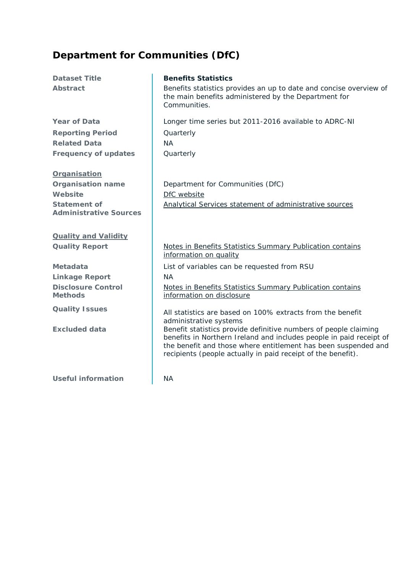### <span id="page-13-0"></span>**Department for Communities (DfC)**

**Reporting Period** Quarterly **Related Data** NA **Frequency of updates** Quarterly

#### **Organisation**

**Website** [DfC website](https://www.communities-ni.gov.uk/topics/benefits-statistics) **Statement of Administrative Sources**

**Quality and Validity**

**Linkage Report** NA **Disclosure Control Methods**

**Useful information** NA

#### **Dataset Title Benefits Statistics**

Abstract **Benefits statistics provides an up to date and concise overview of** the main benefits administered by the Department for Communities.

**Year of Data Longer time series but 2011-2016 available to ADRC-NI** 

**Organisation name** | Department for Communities (DfC) [Analytical Services statement of administrative sources](https://www.communities-ni.gov.uk/publications/analytical-services-statement-administrative-sources)

#### **Quality Report** Notes in Benefits Statistics Summary Publication contains [information on quality](https://www.communities-ni.gov.uk/publications/benefits-statistics-summary-publication-national-statistics-february-2017)

**Metadata** List of variables can be requested from RSU

[Notes in Benefits Statistics Summary Publication contains](https://www.communities-ni.gov.uk/publications/benefits-statistics-summary-publication-national-statistics-february-2017)  [information on disclosure](https://www.communities-ni.gov.uk/publications/benefits-statistics-summary-publication-national-statistics-february-2017)

**Quality Issues** All statistics are based on 100% extracts from the benefit administrative systems

**Excluded data Benefit statistics provide definitive numbers of people claiming** benefits in Northern Ireland and includes people in paid receipt of the benefit and those where entitlement has been suspended and recipients (people actually in paid receipt of the benefit).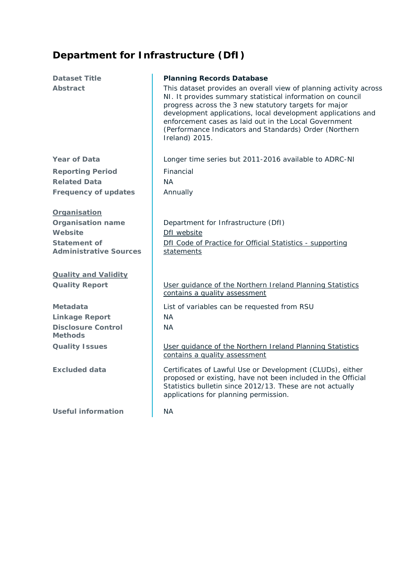### <span id="page-14-0"></span>**Department for Infrastructure (DfI)**

| <b>Dataset Title</b>                                                                                        | <b>Planning Records Database</b>                                                                                                                                                                                                                                                                                                                                                              |
|-------------------------------------------------------------------------------------------------------------|-----------------------------------------------------------------------------------------------------------------------------------------------------------------------------------------------------------------------------------------------------------------------------------------------------------------------------------------------------------------------------------------------|
| <b>Abstract</b>                                                                                             | This dataset provides an overall view of planning activity across<br>NI. It provides summary statistical information on council<br>progress across the 3 new statutory targets for major<br>development applications, local development applications and<br>enforcement cases as laid out in the Local Government<br>(Performance Indicators and Standards) Order (Northern<br>Ireland) 2015. |
| <b>Year of Data</b>                                                                                         | Longer time series but 2011-2016 available to ADRC-NI                                                                                                                                                                                                                                                                                                                                         |
| <b>Reporting Period</b>                                                                                     | Financial                                                                                                                                                                                                                                                                                                                                                                                     |
| <b>Related Data</b>                                                                                         | <b>NA</b>                                                                                                                                                                                                                                                                                                                                                                                     |
| <b>Frequency of updates</b>                                                                                 | Annually                                                                                                                                                                                                                                                                                                                                                                                      |
| Organisation<br><b>Organisation name</b><br>Website<br><b>Statement of</b><br><b>Administrative Sources</b> | Department for Infrastructure (DfI)<br>DfI website<br>Dfl Code of Practice for Official Statistics - supporting<br>statements                                                                                                                                                                                                                                                                 |
| <b>Quality and Validity</b>                                                                                 |                                                                                                                                                                                                                                                                                                                                                                                               |
| <b>Quality Report</b>                                                                                       | User quidance of the Northern Ireland Planning Statistics<br>contains a quality assessment                                                                                                                                                                                                                                                                                                    |
| Metadata                                                                                                    | List of variables can be requested from RSU                                                                                                                                                                                                                                                                                                                                                   |
| <b>Linkage Report</b>                                                                                       | <b>NA</b>                                                                                                                                                                                                                                                                                                                                                                                     |
| <b>Disclosure Control</b><br><b>Methods</b>                                                                 | <b>NA</b>                                                                                                                                                                                                                                                                                                                                                                                     |
| <b>Quality Issues</b>                                                                                       | User quidance of the Northern Ireland Planning Statistics<br>contains a quality assessment                                                                                                                                                                                                                                                                                                    |
| <b>Excluded data</b>                                                                                        | Certificates of Lawful Use or Development (CLUDs), either<br>proposed or existing, have not been included in the Official<br>Statistics bulletin since 2012/13. These are not actually<br>applications for planning permission.                                                                                                                                                               |
| <b>Useful information</b>                                                                                   | <b>NA</b>                                                                                                                                                                                                                                                                                                                                                                                     |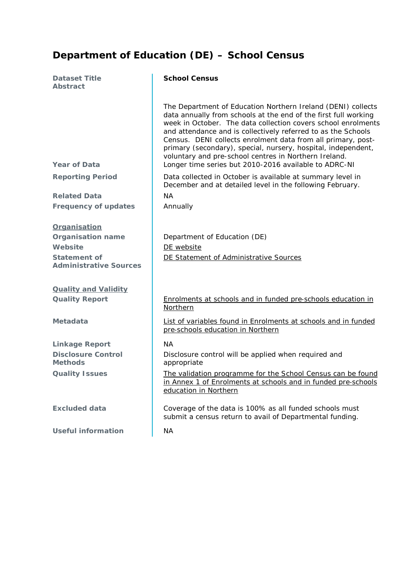### <span id="page-15-0"></span>**Department of Education (DE) – School Census**

| <b>Dataset Title</b><br><b>Abstract</b>                                                                     | <b>School Census</b>                                                                                                                                                                                                                                                                                                                                                                                                                                                                                                 |
|-------------------------------------------------------------------------------------------------------------|----------------------------------------------------------------------------------------------------------------------------------------------------------------------------------------------------------------------------------------------------------------------------------------------------------------------------------------------------------------------------------------------------------------------------------------------------------------------------------------------------------------------|
| <b>Year of Data</b>                                                                                         | The Department of Education Northern Ireland (DENI) collects<br>data annually from schools at the end of the first full working<br>week in October. The data collection covers school enrolments<br>and attendance and is collectively referred to as the Schools<br>Census. DENI collects enrolment data from all primary, post-<br>primary (secondary), special, nursery, hospital, independent,<br>voluntary and pre-school centres in Northern Ireland.<br>Longer time series but 2010-2016 available to ADRC-NI |
| <b>Reporting Period</b>                                                                                     | Data collected in October is available at summary level in<br>December and at detailed level in the following February.                                                                                                                                                                                                                                                                                                                                                                                              |
| <b>Related Data</b>                                                                                         | <b>NA</b>                                                                                                                                                                                                                                                                                                                                                                                                                                                                                                            |
| <b>Frequency of updates</b>                                                                                 | Annually                                                                                                                                                                                                                                                                                                                                                                                                                                                                                                             |
| <b>Organisation</b><br><b>Organisation name</b><br>Website<br>Statement of<br><b>Administrative Sources</b> | Department of Education (DE)<br>DE website<br>DE Statement of Administrative Sources                                                                                                                                                                                                                                                                                                                                                                                                                                 |
| <b>Quality and Validity</b>                                                                                 |                                                                                                                                                                                                                                                                                                                                                                                                                                                                                                                      |
| <b>Quality Report</b>                                                                                       | Enrolments at schools and in funded pre-schools education in<br>Northern                                                                                                                                                                                                                                                                                                                                                                                                                                             |
| <b>Metadata</b>                                                                                             | List of variables found in Enrolments at schools and in funded<br>pre-schools education in Northern                                                                                                                                                                                                                                                                                                                                                                                                                  |
| <b>Linkage Report</b>                                                                                       | <b>NA</b>                                                                                                                                                                                                                                                                                                                                                                                                                                                                                                            |
| <b>Disclosure Control</b><br><b>Methods</b>                                                                 | Disclosure control will be applied when required and<br>appropriate                                                                                                                                                                                                                                                                                                                                                                                                                                                  |
| <b>Quality Issues</b>                                                                                       | The validation programme for the School Census can be found<br>in Annex 1 of Enrolments at schools and in funded pre-schools<br>education in Northern                                                                                                                                                                                                                                                                                                                                                                |
| <b>Excluded data</b>                                                                                        | Coverage of the data is 100% as all funded schools must<br>submit a census return to avail of Departmental funding.                                                                                                                                                                                                                                                                                                                                                                                                  |
| <b>Useful information</b>                                                                                   | <b>NA</b>                                                                                                                                                                                                                                                                                                                                                                                                                                                                                                            |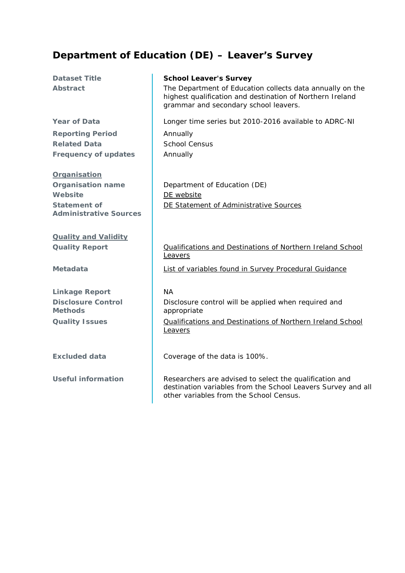### <span id="page-16-0"></span>**Department of Education (DE) – Leaver's Survey**

**Reporting Period** Annually Related Data **School Census Frequency of updates** Annually

#### **Organisation**

**Website** [DE website](https://www.education-ni.gov.uk/) **Statement of Administrative Sources**

**Quality and Validity**

**Linkage Report** NA **Disclosure Control Methods**

#### **Dataset Title School Leaver's Survey**

**Abstract** The Department of Education collects data annually on the highest qualification and destination of Northern Ireland grammar and secondary school leavers.

**Year of Data Longer time series but 2010-2016 available to ADRC-NI** 

**Organisation name Department of Education (DE)** [DE Statement of Administrative Sources](https://www.education-ni.gov.uk/sites/default/files/publications/education/Statement%20of%20Administrative%20Sources%20used%20for%20statistical%20purposes%20rr.pdf)

**Quality Report** Qualifications and Destinations of Northern Ireland School [Leavers](https://www.education-ni.gov.uk/sites/default/files/publications/education/School-leavers-background-quality-report.pdf)

**Metadata [List of variables found in Survey Procedural Guidance](https://www.education-ni.gov.uk/sites/default/files/publications/education/School%20Leavers%20Survey%20Procedural%20Guidance.pdf)** 

Disclosure control will be applied when required and appropriate

**Quality Issues** Qualifications and Destinations of Northern Ireland School [Leavers](https://www.education-ni.gov.uk/sites/default/files/publications/education/School-leavers-background-quality-report.pdf)

**Excluded data** Coverage of the data is 100%.

Useful information **Researchers** are advised to select the qualification and destination variables from the School Leavers Survey and all other variables from the School Census.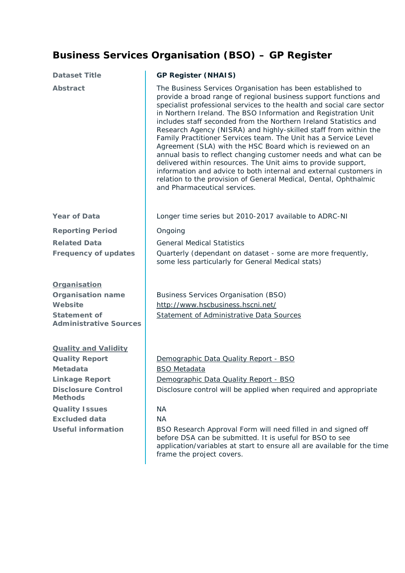# <span id="page-17-0"></span>**Business Services Organisation (BSO) – GP Register**

| <b>Dataset Title</b>                                                                                                                                                                                                          | <b>GP Register (NHAIS)</b>                                                                                                                                                                                                                                                                                                                                                                                                                                                                                                                                                                                                                                                                                                                                                                                                                                      |
|-------------------------------------------------------------------------------------------------------------------------------------------------------------------------------------------------------------------------------|-----------------------------------------------------------------------------------------------------------------------------------------------------------------------------------------------------------------------------------------------------------------------------------------------------------------------------------------------------------------------------------------------------------------------------------------------------------------------------------------------------------------------------------------------------------------------------------------------------------------------------------------------------------------------------------------------------------------------------------------------------------------------------------------------------------------------------------------------------------------|
| <b>Abstract</b>                                                                                                                                                                                                               | The Business Services Organisation has been established to<br>provide a broad range of regional business support functions and<br>specialist professional services to the health and social care sector<br>in Northern Ireland. The BSO Information and Registration Unit<br>includes staff seconded from the Northern Ireland Statistics and<br>Research Agency (NISRA) and highly-skilled staff from within the<br>Family Practitioner Services team. The Unit has a Service Level<br>Agreement (SLA) with the HSC Board which is reviewed on an<br>annual basis to reflect changing customer needs and what can be<br>delivered within resources. The Unit aims to provide support,<br>information and advice to both internal and external customers in<br>relation to the provision of General Medical, Dental, Ophthalmic<br>and Pharmaceutical services. |
| <b>Year of Data</b>                                                                                                                                                                                                           | Longer time series but 2010-2017 available to ADRC-NI                                                                                                                                                                                                                                                                                                                                                                                                                                                                                                                                                                                                                                                                                                                                                                                                           |
| <b>Reporting Period</b>                                                                                                                                                                                                       | Ongoing                                                                                                                                                                                                                                                                                                                                                                                                                                                                                                                                                                                                                                                                                                                                                                                                                                                         |
| <b>Related Data</b>                                                                                                                                                                                                           | <b>General Medical Statistics</b>                                                                                                                                                                                                                                                                                                                                                                                                                                                                                                                                                                                                                                                                                                                                                                                                                               |
| <b>Frequency of updates</b>                                                                                                                                                                                                   | Quarterly (dependant on dataset - some are more frequently,<br>some less particularly for General Medical stats)                                                                                                                                                                                                                                                                                                                                                                                                                                                                                                                                                                                                                                                                                                                                                |
| Organisation<br><b>Organisation name</b><br>Website<br><b>Statement of</b><br><b>Administrative Sources</b>                                                                                                                   | <b>Business Services Organisation (BSO)</b><br>http://www.hscbusiness.hscni.net/<br><b>Statement of Administrative Data Sources</b>                                                                                                                                                                                                                                                                                                                                                                                                                                                                                                                                                                                                                                                                                                                             |
| <b>Quality and Validity</b><br><b>Quality Report</b><br><b>Metadata</b><br><b>Linkage Report</b><br><b>Disclosure Control</b><br><b>Methods</b><br><b>Quality Issues</b><br><b>Excluded data</b><br><b>Useful information</b> | Demographic Data Quality Report - BSO<br><b>BSO Metadata</b><br>Demographic Data Quality Report - BSO<br>Disclosure control will be applied when required and appropriate<br><b>NA</b><br><b>NA</b><br>BSO Research Approval Form will need filled in and signed off<br>before DSA can be submitted. It is useful for BSO to see<br>application/variables at start to ensure all are available for the time<br>frame the project covers.                                                                                                                                                                                                                                                                                                                                                                                                                        |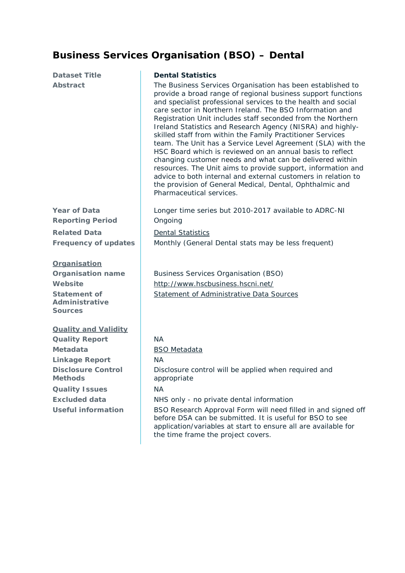### <span id="page-18-0"></span>**Business Services Organisation (BSO) – Dental**

#### **Dataset Title Dental Statistics**

Abstract The Business Services Organisation has been established to provide a broad range of regional business support functions and specialist professional services to the health and social care sector in Northern Ireland. The BSO Information and Registration Unit includes staff seconded from the Northern Ireland Statistics and Research Agency (NISRA) and highlyskilled staff from within the Family Practitioner Services team. The Unit has a Service Level Agreement (SLA) with the HSC Board which is reviewed on an annual basis to reflect changing customer needs and what can be delivered within resources. The Unit aims to provide support, information and advice to both internal and external customers in relation to the provision of General Medical, Dental, Ophthalmic and Pharmaceutical services.

**Year of Data Longer time series but 2010-2017 available to ADRC-NI** 

**Reporting Period** Ongoing **Related Data Dental Statistics Frequency of updates** Monthly (General Dental stats may be less frequent)

#### **Organisation**

**Statement of Administrative Sources**

**Quality and Validity**

**Quality Report** NA **Metadata** [BSO Metadata](http://www.hscbusiness.hscni.net/services/2512.htm) **Linkage Report** NA **Disclosure Control Methods Quality Issues** NA

**Organisation name** | Business Services Organisation (BSO) **Website** <http://www.hscbusiness.hscni.net/> [Statement of Administrative](http://www.hscbusiness.hscni.net/pdf/BSO_Statement_of_Administative_Sources.pdf) Data Sources

Disclosure control will be applied when required and appropriate **Excluded data** NHS only - no private dental information Useful information **BSO** Research Approval Form will need filled in and signed off before DSA can be submitted. It is useful for BSO to see application/variables at start to ensure all are available for the time frame the project covers.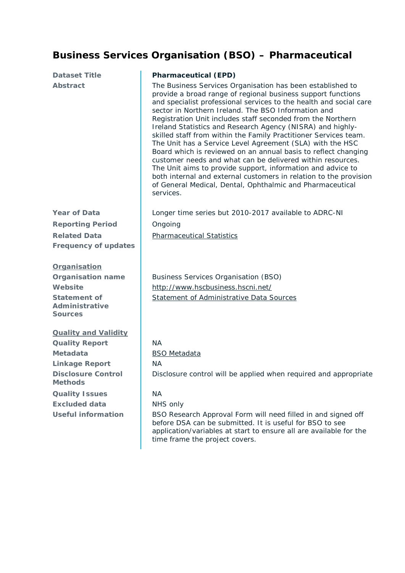### <span id="page-19-0"></span>**Business Services Organisation (BSO) – Pharmaceutical**

| <b>Dataset Title</b><br><b>Abstract</b>                                                                                                                                                                                       | <b>Pharmaceutical (EPD)</b><br>The Business Services Organisation has been established to<br>provide a broad range of regional business support functions<br>and specialist professional services to the health and social care<br>sector in Northern Ireland. The BSO Information and<br>Registration Unit includes staff seconded from the Northern<br>Ireland Statistics and Research Agency (NISRA) and highly-<br>skilled staff from within the Family Practitioner Services team.<br>The Unit has a Service Level Agreement (SLA) with the HSC<br>Board which is reviewed on an annual basis to reflect changing<br>customer needs and what can be delivered within resources.<br>The Unit aims to provide support, information and advice to<br>both internal and external customers in relation to the provision<br>of General Medical, Dental, Ophthalmic and Pharmaceutical<br>services. |
|-------------------------------------------------------------------------------------------------------------------------------------------------------------------------------------------------------------------------------|----------------------------------------------------------------------------------------------------------------------------------------------------------------------------------------------------------------------------------------------------------------------------------------------------------------------------------------------------------------------------------------------------------------------------------------------------------------------------------------------------------------------------------------------------------------------------------------------------------------------------------------------------------------------------------------------------------------------------------------------------------------------------------------------------------------------------------------------------------------------------------------------------|
| <b>Year of Data</b><br><b>Reporting Period</b><br><b>Related Data</b><br><b>Frequency of updates</b>                                                                                                                          | Longer time series but 2010-2017 available to ADRC-NI<br>Ongoing<br><b>Pharmaceutical Statistics</b>                                                                                                                                                                                                                                                                                                                                                                                                                                                                                                                                                                                                                                                                                                                                                                                               |
| Organisation<br><b>Organisation name</b><br>Website<br><b>Statement of</b><br><b>Administrative</b><br><b>Sources</b>                                                                                                         | <b>Business Services Organisation (BSO)</b><br>http://www.hscbusiness.hscni.net/<br><b>Statement of Administrative Data Sources</b>                                                                                                                                                                                                                                                                                                                                                                                                                                                                                                                                                                                                                                                                                                                                                                |
| <b>Quality and Validity</b><br><b>Quality Report</b><br><b>Metadata</b><br><b>Linkage Report</b><br><b>Disclosure Control</b><br><b>Methods</b><br><b>Quality Issues</b><br><b>Excluded data</b><br><b>Useful information</b> | NA<br><b>BSO</b> Metadata<br><b>NA</b><br>Disclosure control will be applied when required and appropriate<br><b>NA</b><br>NHS only<br>BSO Research Approval Form will need filled in and signed off<br>before DSA can be submitted. It is useful for BSO to see<br>application/variables at start to ensure all are available for the                                                                                                                                                                                                                                                                                                                                                                                                                                                                                                                                                             |

time frame the project covers.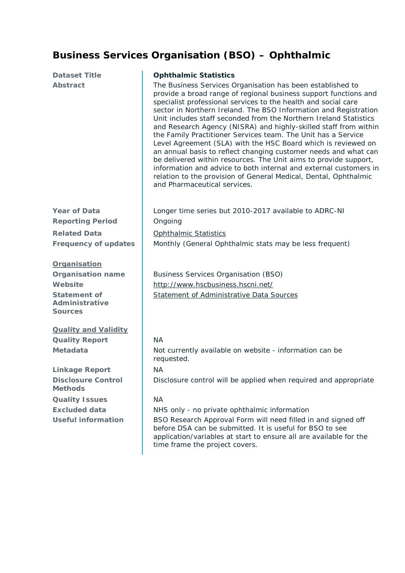### <span id="page-20-0"></span>**Business Services Organisation (BSO) – Ophthalmic**

| <b>Dataset Title</b><br><b>Abstract</b>                                                                               | <b>Ophthalmic Statistics</b><br>The Business Services Organisation has been established to<br>provide a broad range of regional business support functions and<br>specialist professional services to the health and social care<br>sector in Northern Ireland. The BSO Information and Registration<br>Unit includes staff seconded from the Northern Ireland Statistics<br>and Research Agency (NISRA) and highly-skilled staff from within<br>the Family Practitioner Services team. The Unit has a Service<br>Level Agreement (SLA) with the HSC Board which is reviewed on<br>an annual basis to reflect changing customer needs and what can<br>be delivered within resources. The Unit aims to provide support,<br>information and advice to both internal and external customers in<br>relation to the provision of General Medical, Dental, Ophthalmic<br>and Pharmaceutical services. |
|-----------------------------------------------------------------------------------------------------------------------|-------------------------------------------------------------------------------------------------------------------------------------------------------------------------------------------------------------------------------------------------------------------------------------------------------------------------------------------------------------------------------------------------------------------------------------------------------------------------------------------------------------------------------------------------------------------------------------------------------------------------------------------------------------------------------------------------------------------------------------------------------------------------------------------------------------------------------------------------------------------------------------------------|
| <b>Year of Data</b><br><b>Reporting Period</b>                                                                        | Longer time series but 2010-2017 available to ADRC-NI<br>Ongoing                                                                                                                                                                                                                                                                                                                                                                                                                                                                                                                                                                                                                                                                                                                                                                                                                                |
| <b>Related Data</b>                                                                                                   | Ophthalmic Statistics                                                                                                                                                                                                                                                                                                                                                                                                                                                                                                                                                                                                                                                                                                                                                                                                                                                                           |
| <b>Frequency of updates</b>                                                                                           | Monthly (General Ophthalmic stats may be less frequent)                                                                                                                                                                                                                                                                                                                                                                                                                                                                                                                                                                                                                                                                                                                                                                                                                                         |
| Organisation<br><b>Organisation name</b><br>Website<br><b>Statement of</b><br><b>Administrative</b><br><b>Sources</b> | <b>Business Services Organisation (BSO)</b><br>http://www.hscbusiness.hscni.net/<br><b>Statement of Administrative Data Sources</b>                                                                                                                                                                                                                                                                                                                                                                                                                                                                                                                                                                                                                                                                                                                                                             |
| <b>Quality and Validity</b>                                                                                           |                                                                                                                                                                                                                                                                                                                                                                                                                                                                                                                                                                                                                                                                                                                                                                                                                                                                                                 |
| <b>Quality Report</b>                                                                                                 | <b>NA</b>                                                                                                                                                                                                                                                                                                                                                                                                                                                                                                                                                                                                                                                                                                                                                                                                                                                                                       |
| <b>Metadata</b>                                                                                                       | Not currently available on website - information can be<br>requested.                                                                                                                                                                                                                                                                                                                                                                                                                                                                                                                                                                                                                                                                                                                                                                                                                           |
| <b>Linkage Report</b>                                                                                                 | <b>NA</b>                                                                                                                                                                                                                                                                                                                                                                                                                                                                                                                                                                                                                                                                                                                                                                                                                                                                                       |
| <b>Disclosure Control</b><br><b>Methods</b>                                                                           | Disclosure control will be applied when required and appropriate                                                                                                                                                                                                                                                                                                                                                                                                                                                                                                                                                                                                                                                                                                                                                                                                                                |
| <b>Quality Issues</b>                                                                                                 | <b>NA</b>                                                                                                                                                                                                                                                                                                                                                                                                                                                                                                                                                                                                                                                                                                                                                                                                                                                                                       |
| <b>Excluded data</b>                                                                                                  | NHS only - no private ophthalmic information                                                                                                                                                                                                                                                                                                                                                                                                                                                                                                                                                                                                                                                                                                                                                                                                                                                    |
| <b>Useful information</b>                                                                                             | BSO Research Approval Form will need filled in and signed off<br>before DSA can be submitted. It is useful for BSO to see<br>application/variables at start to ensure all are available for the                                                                                                                                                                                                                                                                                                                                                                                                                                                                                                                                                                                                                                                                                                 |

time frame the project covers.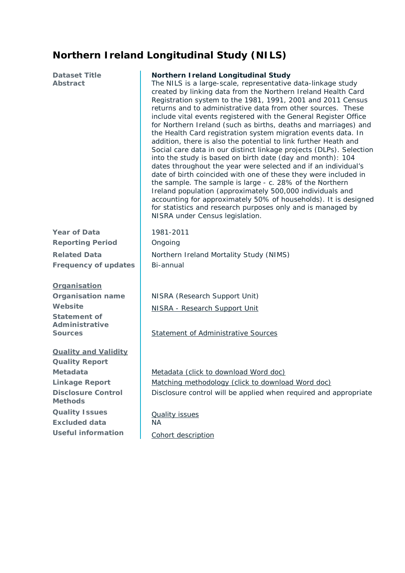### <span id="page-21-0"></span>**Northern Ireland Longitudinal Study (NILS)**

| <b>Dataset Title</b>        | Northern Ireland Longitudinal Study                                                                                                                                                                                                                                                                                                                                                                                                                                                                                                                                                                                                                                                                                                                                                                                                                                                                                                                                                                                                                                                                             |
|-----------------------------|-----------------------------------------------------------------------------------------------------------------------------------------------------------------------------------------------------------------------------------------------------------------------------------------------------------------------------------------------------------------------------------------------------------------------------------------------------------------------------------------------------------------------------------------------------------------------------------------------------------------------------------------------------------------------------------------------------------------------------------------------------------------------------------------------------------------------------------------------------------------------------------------------------------------------------------------------------------------------------------------------------------------------------------------------------------------------------------------------------------------|
| <b>Abstract</b>             | The NILS is a large-scale, representative data-linkage study<br>created by linking data from the Northern Ireland Health Card<br>Registration system to the 1981, 1991, 2001 and 2011 Census<br>returns and to administrative data from other sources. These<br>include vital events registered with the General Register Office<br>for Northern Ireland (such as births, deaths and marriages) and<br>the Health Card registration system migration events data. In<br>addition, there is also the potential to link further Heath and<br>Social care data in our distinct linkage projects (DLPs). Selection<br>into the study is based on birth date (day and month): 104<br>dates throughout the year were selected and if an individual's<br>date of birth coincided with one of these they were included in<br>the sample. The sample is large - c. 28% of the Northern<br>Ireland population (approximately 500,000 individuals and<br>accounting for approximately 50% of households). It is designed<br>for statistics and research purposes only and is managed by<br>NISRA under Census legislation. |
| <b>Year of Data</b>         | 1981-2011                                                                                                                                                                                                                                                                                                                                                                                                                                                                                                                                                                                                                                                                                                                                                                                                                                                                                                                                                                                                                                                                                                       |
| <b>Reporting Period</b>     | Ongoing                                                                                                                                                                                                                                                                                                                                                                                                                                                                                                                                                                                                                                                                                                                                                                                                                                                                                                                                                                                                                                                                                                         |
| <b>Related Data</b>         | Northern Ireland Mortality Study (NIMS)                                                                                                                                                                                                                                                                                                                                                                                                                                                                                                                                                                                                                                                                                                                                                                                                                                                                                                                                                                                                                                                                         |
| <b>Frequency of updates</b> | Bi-annual                                                                                                                                                                                                                                                                                                                                                                                                                                                                                                                                                                                                                                                                                                                                                                                                                                                                                                                                                                                                                                                                                                       |
| Organisation                |                                                                                                                                                                                                                                                                                                                                                                                                                                                                                                                                                                                                                                                                                                                                                                                                                                                                                                                                                                                                                                                                                                                 |
| <b>Organisation name</b>    | NISRA (Research Support Unit)                                                                                                                                                                                                                                                                                                                                                                                                                                                                                                                                                                                                                                                                                                                                                                                                                                                                                                                                                                                                                                                                                   |
| Website                     | NISRA - Research Support Unit                                                                                                                                                                                                                                                                                                                                                                                                                                                                                                                                                                                                                                                                                                                                                                                                                                                                                                                                                                                                                                                                                   |

**Statement of Administrative** 

#### **Quality and Validity**

**Quality Report Disclosure Control Methods Quality Issues** [Quality issues](http://www.qub.ac.uk/research-centres/NILSResearchSupportUnit/FileStore/Filetoupload,313606,en.pdf) **Excluded data** NA Useful information [Cohort description](http://www.qub.ac.uk/research-centres/NILSResearchSupportUnit/FileStore/Filetoupload,313606,en.pdf)

**Sources** [Statement of Administrative Sources](http://www.qub.ac.uk/research-centres/NILSResearchSupportUnit/About/)

Metadata **Metadata** [Metadata \(click to download Word doc\)](https://www.qub.ac.uk/research-centres/NILSResearchSupportUnit/FileStore/Filetoupload,426316,en.docx) Linkage Report [Matching methodology \(click to download Word doc\)](http://www.qub.ac.uk/research-centres/NILSResearchSupportUnit/FileStore/Filetoupload,425661,en.DOCX) Disclosure control will be applied when required and appropriate